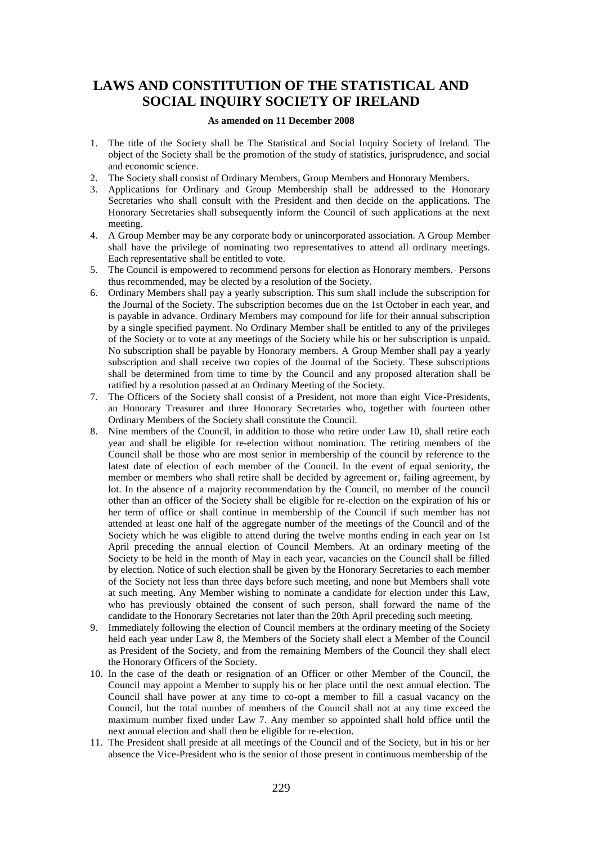## **LAWS AND CONSTITUTION OF THE STATISTICAL AND SOCIAL INQUIRY SOCIETY OF IRELAND**

## **As amended on 11 December 2008**

- 1. The title of the Society shall be The Statistical and Social Inquiry Society of Ireland. The object of the Society shall be the promotion of the study of statistics, jurisprudence, and social and economic science.
- 2. The Society shall consist of Ordinary Members, Group Members and Honorary Members.
- 3. Applications for Ordinary and Group Membership shall be addressed to the Honorary Secretaries who shall consult with the President and then decide on the applications. The Honorary Secretaries shall subsequently inform the Council of such applications at the next meeting.
- 4. A Group Member may be any corporate body or unincorporated association. A Group Member shall have the privilege of nominating two representatives to attend all ordinary meetings. Each representative shall be entitled to vote.
- 5. The Council is empowered to recommend persons for election as Honorary members. Persons thus recommended, may be elected by a resolution of the Society.
- 6. Ordinary Members shall pay a yearly subscription. This sum shall include the subscription for the Journal of the Society. The subscription becomes due on the 1st October in each year, and is payable in advance. Ordinary Members may compound for life for their annual subscription by a single specified payment. No Ordinary Member shall be entitled to any of the privileges of the Society or to vote at any meetings of the Society while his or her subscription is unpaid. No subscription shall be payable by Honorary members. A Group Member shall pay a yearly subscription and shall receive two copies of the Journal of the Society. These subscriptions shall be determined from time to time by the Council and any proposed alteration shall be ratified by a resolution passed at an Ordinary Meeting of the Society.
- 7. The Officers of the Society shall consist of a President, not more than eight Vice-Presidents, an Honorary Treasurer and three Honorary Secretaries who, together with fourteen other Ordinary Members of the Society shall constitute the Council.
- 8. Nine members of the Council, in addition to those who retire under Law 10, shall retire each year and shall be eligible for re-election without nomination. The retiring members of the Council shall be those who are most senior in membership of the council by reference to the latest date of election of each member of the Council. In the event of equal seniority, the member or members who shall retire shall be decided by agreement or, failing agreement, by lot. In the absence of a majority recommendation by the Council, no member of the council other than an officer of the Society shall be eligible for re-election on the expiration of his or her term of office or shall continue in membership of the Council if such member has not attended at least one half of the aggregate number of the meetings of the Council and of the Society which he was eligible to attend during the twelve months ending in each year on 1st April preceding the annual election of Council Members. At an ordinary meeting of the Society to be held in the month of May in each year, vacancies on the Council shall be filled by election. Notice of such election shall be given by the Honorary Secretaries to each member of the Society not less than three days before such meeting, and none but Members shall vote at such meeting. Any Member wishing to nominate a candidate for election under this Law, who has previously obtained the consent of such person, shall forward the name of the candidate to the Honorary Secretaries not later than the 20th April preceding such meeting.
- 9. Immediately following the election of Council members at the ordinary meeting of the Society held each year under Law 8, the Members of the Society shall elect a Member of the Council as President of the Society, and from the remaining Members of the Council they shall elect the Honorary Officers of the Society.
- 10. In the case of the death or resignation of an Officer or other Member of the Council, the Council may appoint a Member to supply his or her place until the next annual election. The Council shall have power at any time to co-opt a member to fill a casual vacancy on the Council, but the total number of members of the Council shall not at any time exceed the maximum number fixed under Law 7. Any member so appointed shall hold office until the next annual election and shall then be eligible for re-election.
- 11. The President shall preside at all meetings of the Council and of the Society, but in his or her absence the Vice-President who is the senior of those present in continuous membership of the